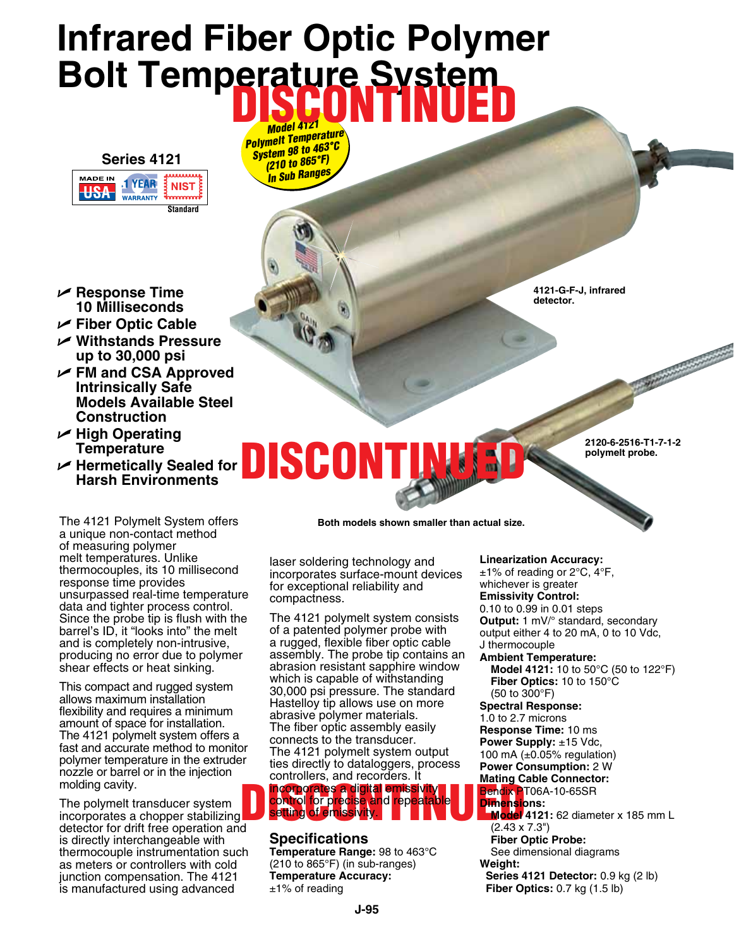# **Infrared Fiber Optic Polymer Bolt Temperature System** DISCONTINUED

*Model 4121 Polymelt Temperature System 98 to 463°C (210 to 865°F) In Sub Ranges*





- U **Response Time 10 Milliseconds**
- U **Fiber Optic Cable**
- U **Withstands Pressure up to 30,000 psi**
- U **FM and CSA Approved Intrinsically Safe Models Available Steel Construction**
- U **High Operating Temperature**
- U **Hermetically Sealed for Harsh Environments**

**4121-G-F-J, infrared detector.**

The 4121 Polymelt System offers a unique non-contact method of measuring polymer melt temperatures. Unlike thermocouples, its 10 millisecond response time provides unsurpassed real-time temperature data and tighter process control. Since the probe tip is flush with the barrel's ID, it "looks into" the melt and is completely non-intrusive, producing no error due to polymer shear effects or heat sinking.

This compact and rugged system allows maximum installation flexibility and requires a minimum amount of space for installation. The 4121 polymelt system offers a fast and accurate method to monitor polymer temperature in the extruder nozzle or barrel or in the injection molding cavity.

The polymelt transducer system incorporates a chopper stabilizing detector for drift free operation and is directly interchangeable with thermocouple instrumentation such as meters or controllers with cold junction compensation. The 4121 is manufactured using advanced

**Both models shown smaller than actual size.**

laser soldering technology and incorporates surface-mount devices for exceptional reliability and compactness.

**DISCONTINUED** 

The 4121 polymelt system consists of a patented polymer probe with a rugged, flexible fiber optic cable assembly. The probe tip contains an abrasion resistant sapphire window which is capable of withstanding 30,000 psi pressure. The standard Hastelloy tip allows use on more abrasive polymer materials. The fiber optic assembly easily connects to the transducer. The 4121 polymelt system output ties directly to dataloggers, process controllers, and recorders. It

#### **D**<br>Control for precise and repeatable<br>setting of emissivity.<br>d control for precise and repeatable setting of emissivity.

### **Specifications**

**Temperature Range:** 98 to 463°C (210 to 865°F) (in sub-ranges) **Temperature Accuracy:**  ±1% of reading

**2120-6-2516-T1-7-1-2 polymelt probe.**

ANGEL ANGEL ANGEL

**Linearization Accuracy:** ±1% of reading or 2°C, 4°F, whichever is greater **Emissivity Control:** 0.10 to 0.99 in 0.01 steps **Output:** 1 mV/° standard, secondary output either 4 to 20 mA, 0 to 10 Vdc, J thermocouple

**Ambient Temperature: Model 4121:** 10 to 50°C (50 to 122°F) **Fiber Optics:** 10 to 150°C (50 to 300°F)

**Spectral Response:** 1.0 to 2.7 microns **Response Time:** 10 ms **Power Supply:** ±15 Vdc, 100 mA (±0.05% regulation) **Power Consumption:** 2 W **Mating Cable Connector:** B<mark>endix P</mark>T06A-10-65SR **Dimensions: Model 4121:** 62 diameter x 185 mm L (2.43 x 7.3") **Fiber Optic Probe:** See dimensional diagrams **Weight: Series 4121 Detector:** 0.9 kg (2 lb) **Fiber Optics: 0.7 kg (1.5 lb)**